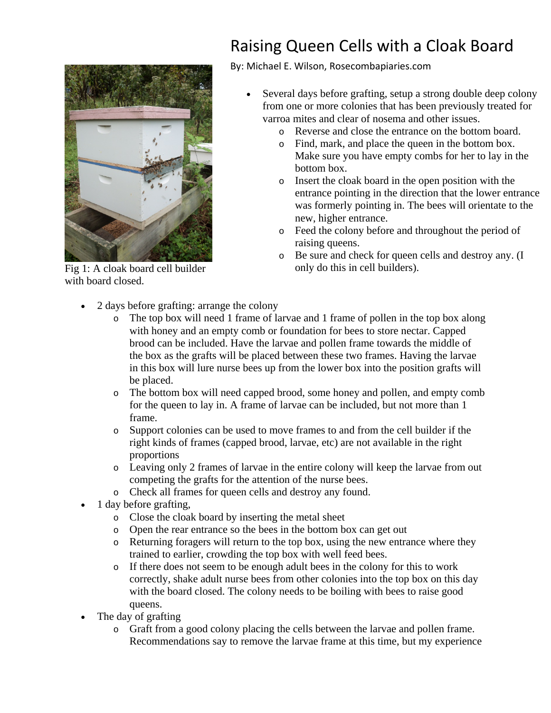Fig 1: A cloak board cell builder with board closed.

## Raising Queen Cells with a Cloak Board

By: Michael E. Wilson, Rosecombapiaries.com

- Several days before grafting, setup a strong double deep colony from one or more colonies that has been previously treated for varroa mites and clear of nosema and other issues.
	- o Reverse and close the entrance on the bottom board.
	- o Find, mark, and place the queen in the bottom box. Make sure you have empty combs for her to lay in the bottom box.
	- o Insert the cloak board in the open position with the entrance pointing in the direction that the lower entrance was formerly pointing in. The bees will orientate to the new, higher entrance.
	- o Feed the colony before and throughout the period of raising queens.
	- o Be sure and check for queen cells and destroy any. (I only do this in cell builders).
- 2 days before grafting: arrange the colony
	- o The top box will need 1 frame of larvae and 1 frame of pollen in the top box along with honey and an empty comb or foundation for bees to store nectar. Capped brood can be included. Have the larvae and pollen frame towards the middle of the box as the grafts will be placed between these two frames. Having the larvae in this box will lure nurse bees up from the lower box into the position grafts will be placed.
	- o The bottom box will need capped brood, some honey and pollen, and empty comb for the queen to lay in. A frame of larvae can be included, but not more than 1 frame.
	- o Support colonies can be used to move frames to and from the cell builder if the right kinds of frames (capped brood, larvae, etc) are not available in the right proportions
	- o Leaving only 2 frames of larvae in the entire colony will keep the larvae from out competing the grafts for the attention of the nurse bees.
	- o Check all frames for queen cells and destroy any found.
- 1 day before grafting,
	- o Close the cloak board by inserting the metal sheet
	- o Open the rear entrance so the bees in the bottom box can get out
	- o Returning foragers will return to the top box, using the new entrance where they trained to earlier, crowding the top box with well feed bees.
	- o If there does not seem to be enough adult bees in the colony for this to work correctly, shake adult nurse bees from other colonies into the top box on this day with the board closed. The colony needs to be boiling with bees to raise good queens.
- The day of grafting
	- o Graft from a good colony placing the cells between the larvae and pollen frame. Recommendations say to remove the larvae frame at this time, but my experience